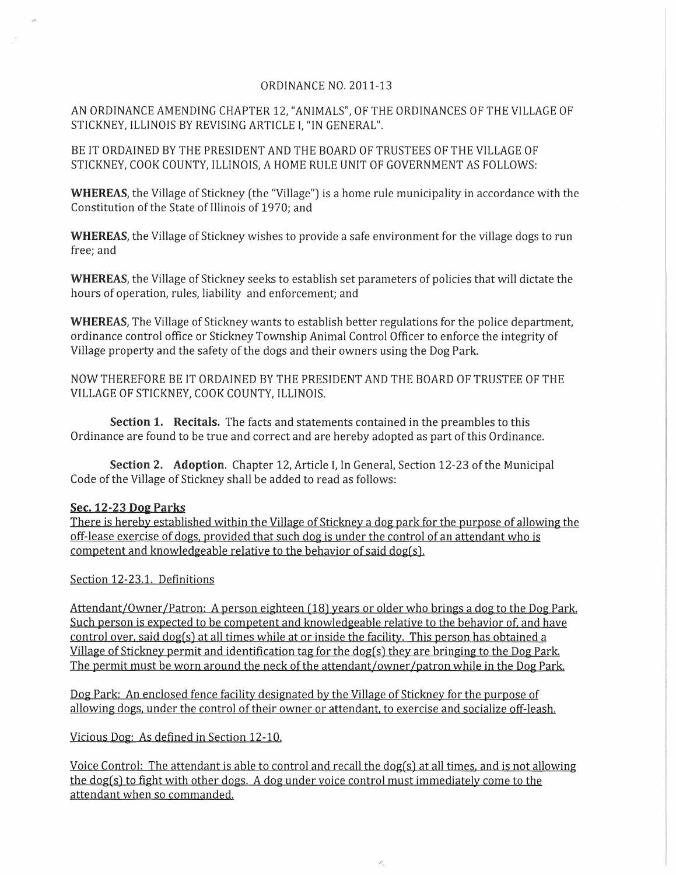## ORDINANCE NO. 2011-13

AN ORDINANCE AMENDING CHAPTER 12, "ANIMALS", OF THE ORDINANCES OF THE VILLAGE OF STICKNEY, ILLINOIS BY REVISING ARTICLE I, "IN GENERAL".

BE IT ORDAINED BY THE PRESIDENT AND THE BOARD OF TRUSTEES OF THE VILLAGE OF STICKNEY, COOK COUNTY, ILLINOIS, A HOME RULE UNIT OF GOVERNMENT AS FOLLOWS:

WHEREAS, the Village of Stickney (the "Village") is a home rule municipality in accordance with the Constitution of the State of Illinois of 1970; and

WHEREAS, the Village of Stickney wishes to provide a safe environment for the village dogs to run free; and

WHEREAS, the Village of Stickney seeks to establish set parameters of policies that will dictate the hours of operation, rules, liability and enforcement; and

WHEREAS, The Village of Stickney wants to establish better regulations for the police department, ordinance control office or Stickney Township Animal Control Officer to enforce the integrity of Village property and the safety of the dogs and their owners using the Dog Park.

NOW THEREFORE BE IT ORDAINED BY THE PRESIDENT AND THE BOARD OF TRUSTEE OF THE VILLAGE OF STICKNEY, COOK COUNTY, ILLINOIS.

Section 1. Recitals. The facts and statements contained in the preambles to this Ordinance are found to be true and correct and are hereby adopted as part of this Ordinance.

Section 2. Adoption. Chapter 12, Article I, In General, Section 12-23 of the Municipal Code of the Village of Stickney shall be added to read as follows:

## Sec. 12-23 **D02** Parks

There is hereby established within the Village of Stickney a dog park for the purpose of allowing the off-lease exercise of dogs. provided that such dog is under the control of an attendant who is competent and knowledgeable relative to the behavior of said dog(s).

Section 12-23.1. Definitions

Attendant/Owner /Patron: A person eighteen (18) years or older who brings a dog to the Dog Park. Such person is expected to be competent and knowledgeable relative to the behavior of. and have control over. said dog(s) at all times while at or inside the facility. This person has obtained a Village of Stickney permit and identification tag for the dog(s) they are bringing to the Dog Park. The permit must be worn around the neck of the attendant/owner/patron while in the Dog Park.

Dog Park: An enclosed fence facility designated by the Village of Stickney for the purpose of allowing dogs. under the control of their owner or attendant. to exercise and socialize off-leash.

Vicious Dog: As defined in Section 12-10.

Voice Control: The attendant is able to control and recall the dog(s) at all times. and is not allowing the dog(s) to fight with other dogs. A dog under voice control must immediately come to the attendant when so commanded.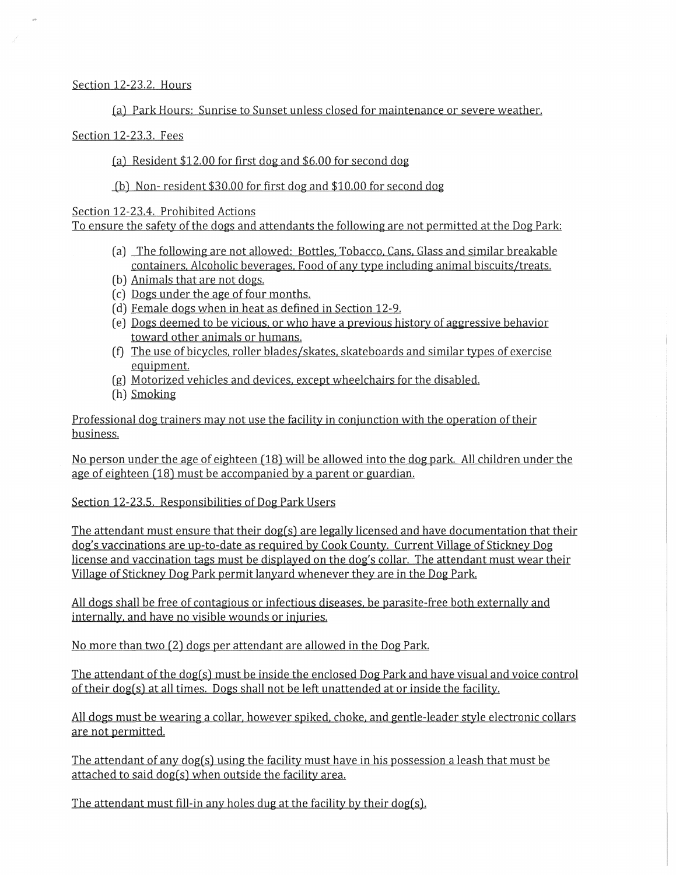## Section 12-23.2. Hours

(a) Park Hours: Sunrise to Sunset unless closed for maintenance or severe weather.

## Section 12-23.3. Fees

(a) Resident  $$12.00$  for first dog and  $$6.00$  for second dog

(b) Non-resident \$30.00 for first dog and \$10.00 for second dog

Section 12-23.4. Prohibited Actions

To ensure the safety of the dogs and attendants the following are not permitted at the Dog Park:

- (a) The following are not allowed: Bottles. Tobacco. Cans. Glass and similar breakable containers. Alcoholic beverages. Food of any type including animal biscuits/treats.
- (b) Animals that are not dogs.
- ( c) Dogs under the age of four months.
- (d) Female dogs when in heat as defined in Section 12-9.
- ( e) Dogs deemed to be vicious. or who have a previous history of aggressive behavior toward other animals or humans.
- (f) The use of bicycles. roller blades/skates. skateboards and similar types of exercise equipment.
- (g) Motorized vehicles and devices. except wheelchairs for the disabled.
- (h) Smoking

Professional dog trainers may not use the facility in conjunction with the operation of their business.

No person under the age of eighteen (18) will be allowed into the dog park. All children under the age of eighteen (18) must be accompanied by a parent or guardian.

Section 12-23.5. Responsibilities of Dog Park Users

The attendant must ensure that their dog(s) are legally licensed and have documentation that their dog's vaccinations are up-to-date as required by Cook County. Current Village of Stickney Dog license and vaccination tags must be displayed on the dog's collar. The attendant must wear their Village of Stickney Dog Park permit lanyard whenever they are in the Dog Park.

All dogs shall be free of contagious or infectious diseases. be parasite-free both externally and internally. and have no visible wounds or injuries.

No more than two (2) dogs per attendant are allowed in the Dog Park.

The attendant of the dog(s) must be inside the enclosed Dog Park and have visual and voice control of their dog(s) at all times. Dogs shall not be left unattended at or inside the facility.

All dogs must be wearing a collar. however spiked. choke. and gentle-leader style electronic collars are not permitted.

The attendant of any dog(s) using the facility must have in his possession a leash that must be attached to said dog(s) when outside the facility area.

The attendant must fill-in any holes dug at the facility by their dog(s).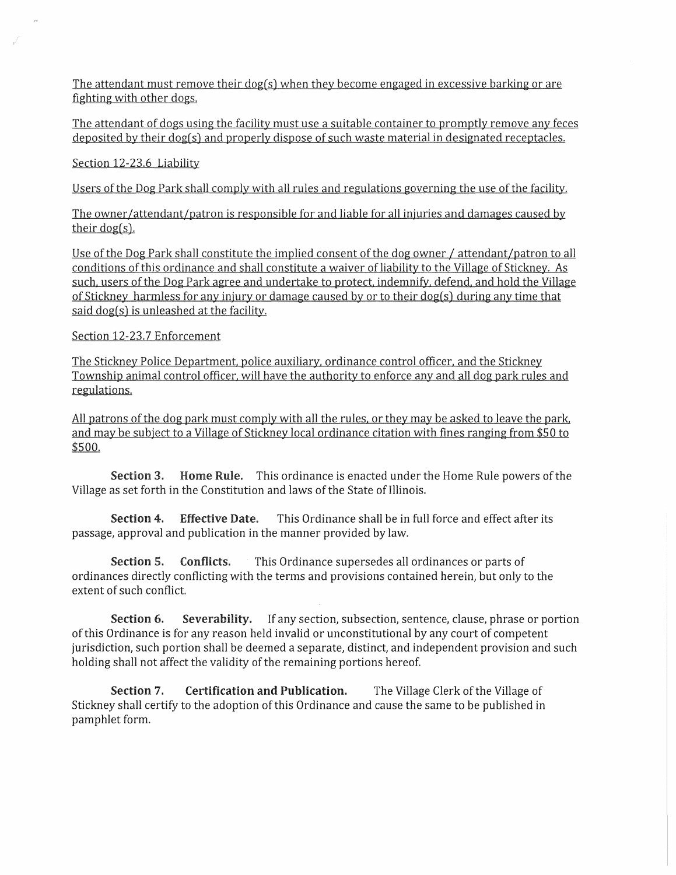The attendant must remove their dog(s) when they become engaged in excessive barking or are fighting with other dogs.

The attendant of dogs using the facility must use a suitable container to promptly remove any feces deposited by their dog(s) and properly dispose of such waste material in designated receptacles.

Section 12-23.6 Liability

Users of the Dog Park shall comply with all rules and regulations governing the use of the facility.

The owner /attendant/patron is responsible for and liable for all injuries and damages caused by their dog(s).

Use of the Dog Park shall constitute the implied consent of the dog owner / attendant/patron to all conditions of this ordinance and shall constitute a waiver of liability to the Village of Stickney. As such. users of the Dog Park agree and undertake to protect. indemnify. defend. and hold the Village of Stickney harmless for any injury or damage caused by or to their dog(s) during any time that said dog(s) is unleashed at the facility.

Section 12-23.7 Enforcement

The Stickney Police Department. police auxiliary. ordinance control officer. and the Stickney Township animal control officer. will have the authority to enforce any and all dog park rules and regulations.

All patrons of the dog park must comply with all the rules, or they may be asked to leave the park, and may be subject to a Village of Stickney local ordinance citation with fines ranging from \$50 to \$500.

**Section 3. Home Rule.** This ordinance is enacted under the Home Rule powers of the Village as set forth in the Constitution and laws of the State of Illinois.

**Section 4. Effective Date.** This Ordinance shall be in full force and effect after its passage, approval and publication in the manner provided by law.

**Section 5. Conflicts.** This Ordinance supersedes all ordinances or parts of ordinances directly conflicting with the terms and provisions contained herein, but only to the extent of such conflict.

**Section 6. Severability.** If any section, subsection, sentence, clause, phrase or portion of this Ordinance is for any reason held invalid or unconstitutional by any court of competent jurisdiction, such portion shall be deemed a separate, distinct, and independent provision and such holding shall not affect the validity of the remaining portions hereof.

**Section 7. Certification and Publication.** The Village Clerk of the Village of Stickney shall certify to the adoption of this Ordinance and cause the same to be published in pamphlet form.